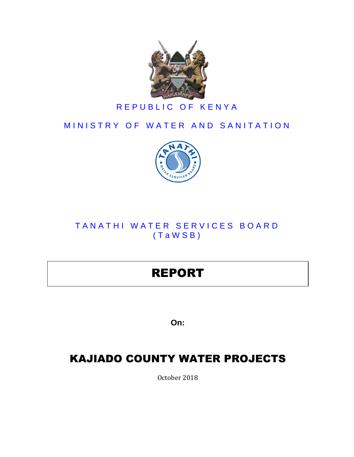

## REPUBLIC OF KENYA

## MINISTRY OF WATER AND SANITATION



## TANATHI WATER SERVICES BOARD ( T a W S B )

# REPORT

**On:**

## KAJIADO COUNTY WATER PROJECTS

October 2018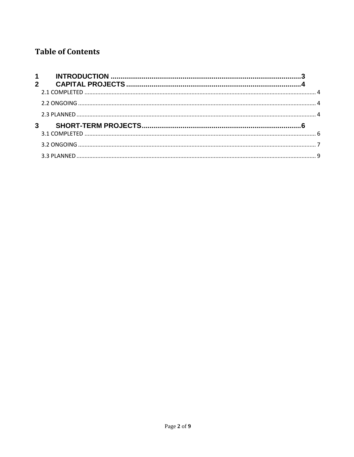## **Table of Contents**

| $1 \quad \blacksquare$ |  |
|------------------------|--|
|                        |  |
|                        |  |
|                        |  |
|                        |  |
|                        |  |
|                        |  |
|                        |  |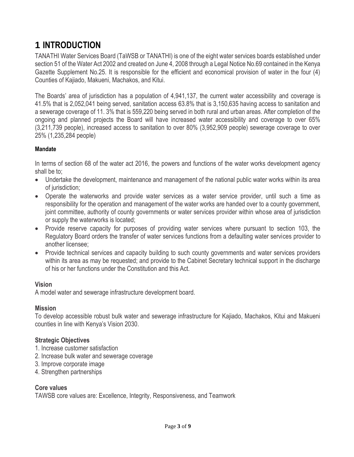## <span id="page-2-0"></span>**1 INTRODUCTION**

TANATHI Water Services Board (TaWSB or TANATHI) is one of the eight water services boards established under section 51 of the Water Act 2002 and created on June 4, 2008 through a Legal Notice No.69 contained in the Kenya Gazette Supplement No.25. It is responsible for the efficient and economical provision of water in the four (4) Counties of Kajiado, Makueni, Machakos, and Kitui.

The Boards' area of jurisdiction has a population of 4,941,137, the current water accessibility and coverage is 41.5% that is 2,052,041 being served, sanitation access 63.8% that is 3,150,635 having access to sanitation and a sewerage coverage of 11. 3% that is 559,220 being served in both rural and urban areas. After completion of the ongoing and planned projects the Board will have increased water accessibility and coverage to over 65% (3,211,739 people), increased access to sanitation to over 80% (3,952,909 people) sewerage coverage to over 25% (1,235,284 people)

#### **Mandate**

In terms of section 68 of the water act 2016, the powers and functions of the water works development agency shall be to;

- Undertake the development, maintenance and management of the national public water works within its area of jurisdiction;
- Operate the waterworks and provide water services as a water service provider, until such a time as responsibility for the operation and management of the water works are handed over to a county government, joint committee, authority of county governments or water services provider within whose area of jurisdiction or supply the waterworks is located;
- Provide reserve capacity for purposes of providing water services where pursuant to section 103, the Regulatory Board orders the transfer of water services functions from a defaulting water services provider to another licensee;
- Provide technical services and capacity building to such county governments and water services providers within its area as may be requested; and provide to the Cabinet Secretary technical support in the discharge of his or her functions under the Constitution and this Act.

#### **Vision**

A model water and sewerage infrastructure development board.

#### **Mission**

To develop accessible robust bulk water and sewerage infrastructure for Kajiado, Machakos, Kitui and Makueni counties in line with Kenya's Vision 2030.

#### **Strategic Objectives**

- 1. Increase customer satisfaction
- 2. Increase bulk water and sewerage coverage
- 3. Improve corporate image
- 4. Strengthen partnerships

#### **Core values**

TAWSB core values are: Excellence, Integrity, Responsiveness, and Teamwork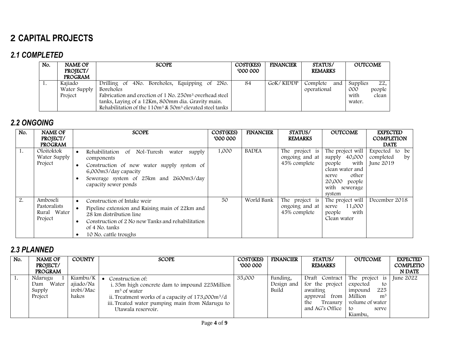## **2 CAPITAL PROJECTS**

### *2.1 COMPLETED*

| No. | <b>NAME OF</b><br>PROJECT/         | <b>SCOPE</b>                                                                                                                                                                                                                                                             | COST(KES)<br>000 000 | <b>FINANCIER</b> | STATUS/<br><b>REMARKS</b>      | <b>OUTCOME</b>                                              |
|-----|------------------------------------|--------------------------------------------------------------------------------------------------------------------------------------------------------------------------------------------------------------------------------------------------------------------------|----------------------|------------------|--------------------------------|-------------------------------------------------------------|
|     | <b>PROGRAM</b>                     |                                                                                                                                                                                                                                                                          |                      |                  |                                |                                                             |
| .,  | Kajiado<br>Water Supply<br>Project | Drilling of 4No. Boreholes, Equipping of 2No.<br>Boreholes<br>Fabrication and erection of 1 No. 250m <sup>3</sup> overhead steel<br>tanks, Laying of a 12Km, 800mm dia. Gravity main.<br>Rehabilitation of the 110m <sup>3</sup> & 50m <sup>3</sup> elevated steel tanks | 84                   | GoK/KIDDP        | Complete<br>and<br>operational | 22,<br>Supplies<br>000<br>people<br>with<br>clean<br>water. |

### *2.2 ONGOING*

<span id="page-3-1"></span><span id="page-3-0"></span>

| No. | <b>NAME OF</b><br>PROJECT/<br><b>PROGRAM</b>       | <b>SCOPE</b>                                                                                                                                                                                                                                     | COST(KES)<br>600000 | <b>FINANCIER</b> | STATUS/<br><b>REMARKS</b>                        | <b>OUTCOME</b>                                                                                                                       | <b>EXPECTED</b><br><b>COMPLETION</b><br><b>DATE</b> |
|-----|----------------------------------------------------|--------------------------------------------------------------------------------------------------------------------------------------------------------------------------------------------------------------------------------------------------|---------------------|------------------|--------------------------------------------------|--------------------------------------------------------------------------------------------------------------------------------------|-----------------------------------------------------|
| 1.  | Oloitoktok<br>Water Supply<br>Project              | Nol-Turesh<br>Rehabilitation<br>0f<br>supply<br>water<br>$\bullet$<br>components<br>Construction of new water supply system of<br>$\bullet$<br>6,000m3/day capacity<br>Sewerage system of 25km and 2600m3/day<br>capacity sewer ponds            | 1,000               | <b>BADEA</b>     | The project is<br>ongoing and at<br>45% complete | The project will<br>supply 40,000<br>with<br>people<br>clean water and<br>other<br>serve<br>20,000 people<br>with sewerage<br>system | Expected to<br>be<br>completed<br>by<br>June 2019   |
| 2.  | Amboseli<br>Pastoralists<br>Rural Water<br>Project | Construction of Intake weir<br>$\bullet$<br>Pipeline extension and Raising main of 22km and<br>$\bullet$<br>28 km distribution line<br>Construction of 2 No new Tanks and rehabilitation<br>$\bullet$<br>of 4 No. tanks<br>10 No. cattle troughs | 50                  | World Bank       | The project is<br>ongoing and at<br>45% complete | The project will<br>11,000<br>serve<br>with<br>people<br>Clean water                                                                 | December 2018                                       |

### <span id="page-3-2"></span>*2.3 PLANNED*

<span id="page-3-3"></span>

| No. | <b>NAME OF</b><br>PROJECT/<br><b>PROGRAM</b> | <b>COUNTY</b>                               | <b>SCOPE</b>                                                                                                                                                                                                                            | COST(KES)<br>000 000 | <b>FINANCIER</b>                | STATUS/<br><b>REMARKS</b>                                                                               | <b>OUTCOME</b>                                                                                                               | <b>EXPECTED</b><br>COMPLETIO<br><b>N DATE</b> |
|-----|----------------------------------------------|---------------------------------------------|-----------------------------------------------------------------------------------------------------------------------------------------------------------------------------------------------------------------------------------------|----------------------|---------------------------------|---------------------------------------------------------------------------------------------------------|------------------------------------------------------------------------------------------------------------------------------|-----------------------------------------------|
| -1. | Ndarugu<br>Water<br>Dam<br>Supply<br>Project | Kiambu/K<br>ajiado/Na<br>irobi/Mac<br>hakos | Construction of:<br>i. 35m high concrete dam to impound 225Million<br>m <sup>3</sup> of water<br>ii. Treatment works of a capacity of 173,000m <sup>3</sup> /d<br>iii. Treated water pumping main from Ndarugu to<br>Utawala reservoir. | 35,000               | Funding,<br>Design and<br>Build | Draft Contract<br>for the project<br>awaiting<br>from<br>approval<br>Treasury<br>the<br>and AG's Office | The project is<br>expected<br>to<br>225<br>impound<br>Million<br>m <sup>3</sup><br>volume of water<br>to<br>serve<br>Kiambu. | June 2022                                     |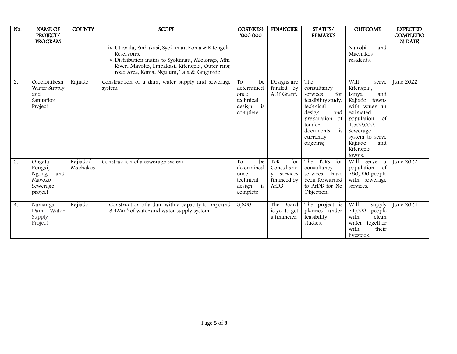| No. | <b>NAME OF</b><br>PROJECT/<br><b>PROGRAM</b>                       | <b>COUNTY</b>        | <b>SCOPE</b>                                                                                                                                                                                                          | COST(KES)<br>000 000                                                    | <b>FINANCIER</b>                                              | STATUS/<br><b>REMARKS</b>                                                                                                                                        | <b>OUTCOME</b>                                                                                                                                                                                                      | <b>EXPECTED</b><br>COMPLETIO<br><b>N DATE</b> |
|-----|--------------------------------------------------------------------|----------------------|-----------------------------------------------------------------------------------------------------------------------------------------------------------------------------------------------------------------------|-------------------------------------------------------------------------|---------------------------------------------------------------|------------------------------------------------------------------------------------------------------------------------------------------------------------------|---------------------------------------------------------------------------------------------------------------------------------------------------------------------------------------------------------------------|-----------------------------------------------|
|     |                                                                    |                      | iv. Utawala, Embakasi, Syokimau, Koma & Kitengela<br>Reservoirs.<br>v. Distribution mains to Syokimau, Mlolongo, Athi<br>River, Mavoko, Embakasi, Kitengela, Outer ring<br>road Area, Koma, Nguluni, Tala & Kangundo. |                                                                         |                                                               |                                                                                                                                                                  | Nairobi<br>and<br>Machakos<br>residents.                                                                                                                                                                            |                                               |
| 2.  | Olooloitikosh<br>Water Supply<br>and<br>Sanitation<br>Project      | Kajiado              | Construction of a dam, water supply and sewerage<br>system                                                                                                                                                            | To<br>be<br>determined<br>once<br>technical<br>design<br>is<br>complete | Designs are<br>funded by<br>ADF Grant.                        | The<br>consultancy<br>services<br>for<br>feasibility study,<br>technical<br>design<br>and<br>preparation of<br>tender<br>is<br>documents<br>currently<br>ongoing | Will<br>serve<br>Kitengela,<br>Isinya<br>and<br>Kajiado<br>towns<br>with water an<br>estimated<br>population<br><sub>of</sub><br>1,500,000.<br>Sewerage<br>system to serve<br>Kajiado<br>and<br>Kitengela<br>towns. | June 2022                                     |
| 3.  | Ongata<br>Rongai,<br>and<br>Ngong<br>Mavoko<br>Sewerage<br>project | Kajiado/<br>Machakos | Construction of a sewerage system                                                                                                                                                                                     | To<br>be<br>determined<br>once<br>technical<br>design<br>is<br>complete | ToR<br>for<br>Consultanc<br>y services<br>financed by<br>AfDB | ToRs for<br>The<br>consultancy<br>services<br>have<br>been forwarded<br>to AfDB for No<br>Objection.                                                             | Will serve a<br>population of<br>750,000 people<br>with sewerage<br>services.                                                                                                                                       | <b>June 2022</b>                              |
| 4.  | Namanga<br>Dam Water<br>Supply<br>Project                          | Kajiado              | Construction of a dam with a capacity to impound<br>3.4Mm <sup>3</sup> of water and water supply system                                                                                                               | 3,800                                                                   | The Board<br>is yet to get<br>a financier.                    | The project is<br>planned under<br>feasibility<br>studies.                                                                                                       | Will<br>supply<br>71,000<br>people<br>with<br>clean<br>together<br>water<br>with<br>their<br>livestock.                                                                                                             | June 2024                                     |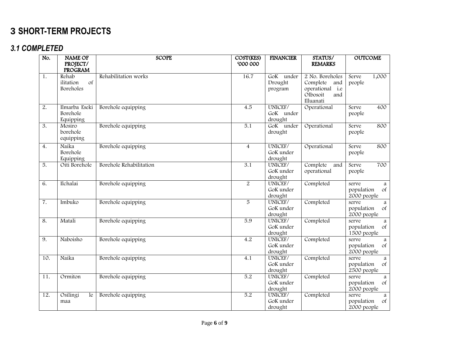## **3 SHORT-TERM PROJECTS**

### *3.1 COMPLETED*

<span id="page-5-1"></span><span id="page-5-0"></span>

| No.               | <b>NAME OF</b><br>PROJECT/<br><b>PROGRAM</b> | <b>SCOPE</b>            | COST(KES)<br>000 000 | <b>FINANCIER</b>                | STATUS/<br><b>REMARKS</b>                                                             | <b>OUTCOME</b>                                        |
|-------------------|----------------------------------------------|-------------------------|----------------------|---------------------------------|---------------------------------------------------------------------------------------|-------------------------------------------------------|
| 1.                | Rehab<br>of<br>ilitation<br>Boreholes        | Rehabilitation works    | 16.7                 | GoK under<br>Drought<br>program | 2 No. Boreholes<br>Complete<br>and<br>operational i.e<br>Olbosoit<br>and<br>Illuanati | 1,000<br>Serve<br>people                              |
| 2.                | Ilmarba Eseki<br>Borehole<br>Equipping       | Borehole equipping      | 4.5                  | UNICEF/<br>GoK under<br>drought | Operational                                                                           | 400<br>Serve<br>people                                |
| 3.                | Mosiro<br>borehole<br>equipping              | Borehole equipping      | $\overline{5.1}$     | GoK under<br>drought            | Operational                                                                           | 800<br>Serve<br>people                                |
| $\overline{4}$ .  | Naika<br>Borehole<br>Equipping               | Borehole equipping      | $\overline{4}$       | UNICEF/<br>GoK under<br>drought | Operational                                                                           | 800<br>Serve<br>people                                |
| 5.                | Oiti Borehole                                | Borehole Rehabilitation | 3.1                  | UNICEF/<br>GoK under<br>drought | Complete<br>and<br>operational                                                        | 700<br>Serve<br>people                                |
| 6.                | Ilchalai                                     | Borehole equipping      | $\overline{2}$       | UNICEF/<br>GoK under<br>drought | Completed                                                                             | serve<br>a<br>$\circ$ f<br>population<br>2000 people  |
| 7.                | Imbuko                                       | Borehole equipping      | 5                    | UNICEF/<br>GoK under<br>drought | Completed                                                                             | serve<br>a<br>population<br>$\circ$ f<br>2000 people  |
| 8.                | Matali                                       | Borehole equipping      | $\overline{5.9}$     | UNICEF/<br>GoK under<br>drought | Completed                                                                             | serve<br>a<br>$\sigma f$<br>population<br>1500 people |
| 9.                | Naboisho                                     | Borehole equipping      | 4.2                  | UNICEF/<br>GoK under<br>drought | Completed                                                                             | serve<br>a<br>population<br>of<br>2000 people         |
| 10.               | Naika                                        | Borehole equipping      | 4.1                  | UNICEF/<br>GoK under<br>drought | Completed                                                                             | serve<br>a<br>population<br>of<br>2500 people         |
| 11.               | Ormiton                                      | Borehole equipping      | 5.2                  | UNICEF/<br>GoK under<br>drought | Completed                                                                             | serve<br>a<br>population<br>$\sigma f$<br>2000 people |
| $\overline{12}$ . | Osilingi<br>le<br>maa                        | Borehole equipping      | 5.2                  | UNICEF/<br>GoK under<br>drought | Completed                                                                             | serve<br>a<br>population<br>$\sigma f$<br>2000 people |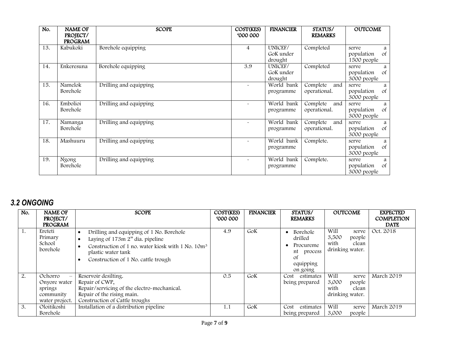| No. | <b>NAME OF</b><br>PROJECT/<br><b>PROGRAM</b> | <b>SCOPE</b>           | COST(KES)<br>600000 | <b>FINANCIER</b>                | STATUS/<br><b>REMARKS</b>       | <b>OUTCOME</b>                                           |
|-----|----------------------------------------------|------------------------|---------------------|---------------------------------|---------------------------------|----------------------------------------------------------|
| 13. | Kabukoki                                     | Borehole equipping     | 4                   | UNICEF/<br>GoK under<br>drought | Completed                       | serve<br>a<br>of<br>population<br>1500 people            |
| 14. | Enkeresuna                                   | Borehole equipping     | 3.9                 | UNICEF/<br>GoK under<br>drought | Completed                       | serve<br>a<br>of<br>population<br>3000 people            |
| 15. | Namelok<br>Borehole                          | Drilling and equipping |                     | World bank<br>programme         | Complete<br>and<br>operational. | serve<br>a<br><sub>of</sub><br>population<br>3000 people |
| 16. | Embolioi<br>Borehole                         | Drilling and equipping |                     | World bank<br>programme         | Complete<br>and<br>operational. | serve<br>a<br><sub>of</sub><br>population<br>3000 people |
| 17. | Namanga<br>Borehole                          | Drilling and equipping |                     | World bank<br>programme         | Complete<br>and<br>operational. | serve<br>a<br><sub>of</sub><br>population<br>3000 people |
| 18. | Mashuuru                                     | Drilling and equipping |                     | World bank<br>programme         | Complete.                       | serve<br>a<br>of<br>population<br>3000 people            |
| 19. | Ngong<br>Borehole                            | Drilling and equipping |                     | World bank<br>programme         | Complete.                       | serve<br>a<br>of<br>population<br>3000 people            |

## *3.2 ONGOING*

<span id="page-6-0"></span>

| No.            | <b>NAME OF</b><br>PROJECT/<br><b>PROGRAM</b>                                                  | <b>SCOPE</b>                                                                                                                                                                                                           | COST(KES)<br>000000 | <b>FINANCIER</b> | STATUS/<br><b>REMARKS</b>                                                                | <b>OUTCOME</b>                                                       | <b>EXPECTED</b><br><b>COMPLETION</b><br><b>DATE</b> |
|----------------|-----------------------------------------------------------------------------------------------|------------------------------------------------------------------------------------------------------------------------------------------------------------------------------------------------------------------------|---------------------|------------------|------------------------------------------------------------------------------------------|----------------------------------------------------------------------|-----------------------------------------------------|
| $\mathbf{I}$ . | Ereteti<br>Primary<br>School<br>borehole                                                      | Drilling and equipping of 1 No. Borehole<br>$\bullet$<br>Laying of 173m 2" dia. pipeline<br>Construction of 1 no. water kiosk with 1 No. 10m <sup>3</sup><br>plastic water tank<br>Construction of 1 No. cattle trough | 4.9                 | GoK              | Borehole<br>drilled<br>Procureme<br>nt process<br><sup>of</sup><br>equipping<br>on going | Will<br>serve<br>3,500<br>people<br>with<br>clean<br>drinking water. | Oct. 2018                                           |
| 2.             | Ochorro<br>$\overline{\phantom{0}}$<br>Onvore water<br>springs<br>community<br>water project. | Reservoir desilting.<br>Repair of CWP,<br>Repair/servicing of the electro-mechanical.<br>Repair of the rising main.<br>Construction of Cattle troughs                                                                  | 0.5                 | GoK              | estimates<br>Cost<br>being prepared                                                      | Will<br>serve<br>3,000<br>people<br>with<br>clean<br>drinking water. | March 2019                                          |
| 3.             | Oloitikoshi<br>Borehole                                                                       | Installation of a distribution pipeline                                                                                                                                                                                | 1.1                 | GoK              | Cost<br>estimates<br>being prepared                                                      | Will<br>serve<br>3,000<br>people                                     | March 2019                                          |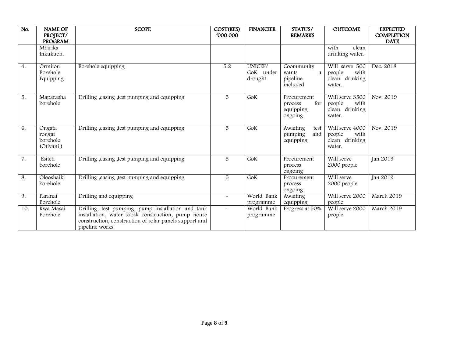| No. | <b>NAME OF</b><br>PROJECT/<br><b>PROGRAM</b> | <b>SCOPE</b>                                                                                                                                                                          | COST(KES)<br>000 000 | <b>FINANCIER</b>                | STATUS/<br><b>REMARKS</b>                             | <b>OUTCOME</b>                                                | <b>EXPECTED</b><br><b>COMPLETION</b><br><b>DATE</b> |
|-----|----------------------------------------------|---------------------------------------------------------------------------------------------------------------------------------------------------------------------------------------|----------------------|---------------------------------|-------------------------------------------------------|---------------------------------------------------------------|-----------------------------------------------------|
|     | Mbirika<br>Inkukuon.                         |                                                                                                                                                                                       |                      |                                 |                                                       | with<br>clean<br>drinking water.                              |                                                     |
| 4.  | Ormiton<br>Borehole<br>Equipping             | Borehole equipping                                                                                                                                                                    | $\overline{5.2}$     | UNICEF/<br>GoK under<br>drought | Coommunity<br>wants<br>a<br>pipeline<br>included      | Will serve 500<br>people<br>with<br>clean drinking<br>water.  | Dec. 2018                                           |
| 5.  | Maparasha<br>borehole                        | Drilling, casing, test pumping and equipping                                                                                                                                          | 5                    | GoK                             | Procurement<br>for<br>process<br>equipping<br>ongoing | Will serve 3500<br>people<br>with<br>clean drinking<br>water. | Nov. 2019                                           |
| 6.  | Ongata<br>rongai<br>borehole<br>(Otiyani)    | Drilling , casing , test pumping and equipping                                                                                                                                        | 5                    | GoK                             | Awaiting<br>test<br>and<br>pumping<br>equipping       | Will serve 4000<br>with<br>people<br>clean drinking<br>water. | Nov. 2019                                           |
| 7.  | Esiteti<br>borehole                          | Drilling casing test pumping and equipping                                                                                                                                            | 5                    | GoK                             | Procurement<br>process<br>ongoing                     | Will serve<br>2000 people                                     | Jan 2019                                            |
| 8.  | Olooshaiki<br>borehole                       | Drilling , casing , test pumping and equipping                                                                                                                                        | 5                    | GOK                             | Procurement<br>process<br>ongoing                     | Will serve<br>2000 people                                     | Jan 2019                                            |
| 9.  | Paranai<br>Borehole                          | Drilling and equipping                                                                                                                                                                | $\sim$               | World Bank<br>programme         | Awaiting<br>equipping                                 | Will serve 2000<br>people                                     | March 2019                                          |
| 10. | Kwa Masai<br>Borehole                        | Drilling, test pumping, pump installation and tank<br>installation, water kiosk construction, pump house<br>construction, construction of solar panels support and<br>pipeline works. | $\sim$               | World Bank<br>programme         | Progress at 50%                                       | Will serve 2000<br>people                                     | March 2019                                          |